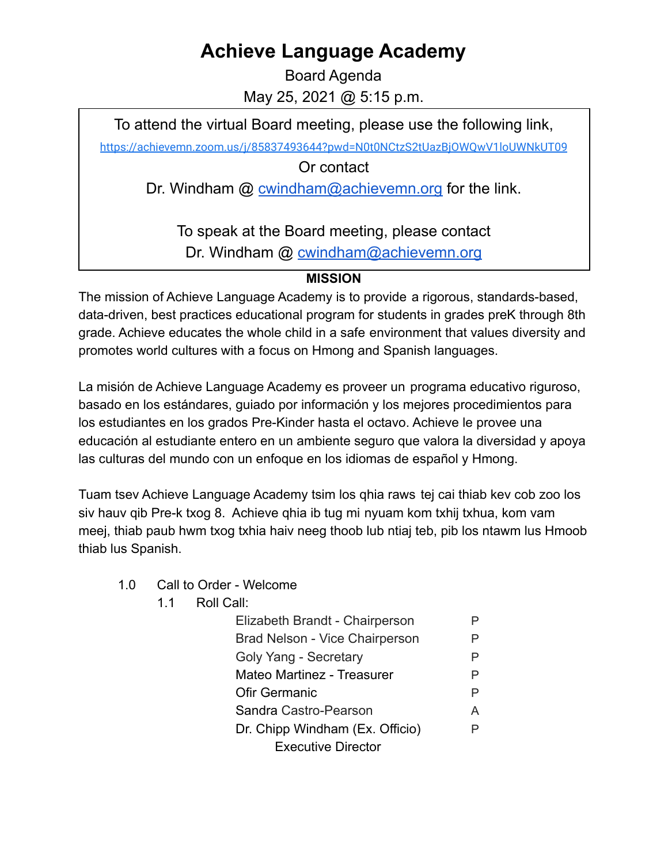## **Achieve Language Academy**

Board Agenda May 25, 2021 @ 5:15 p.m.

To attend the virtual Board meeting, please use the following link,

<https://achievemn.zoom.us/j/85837493644?pwd=N0t0NCtzS2tUazBjOWQwV1loUWNkUT09>

Or contact

Dr. Windham @ [cwindham@achievemn.org](mailto:cwindham@achievemn.org) for the link.

To speak at the Board meeting, please contact Dr. Windham @ [cwindham@achievemn.org](mailto:cwindham@achievemn.org)

## **MISSION**

The mission of Achieve Language Academy is to provide a rigorous, standards-based, data-driven, best practices educational program for students in grades preK through 8th grade. Achieve educates the whole child in a safe environment that values diversity and promotes world cultures with a focus on Hmong and Spanish languages.

La misión de Achieve Language Academy es proveer un programa educativo riguroso, basado en los estándares, guiado por información y los mejores procedimientos para los estudiantes en los grados Pre-Kinder hasta el octavo. Achieve le provee una educación al estudiante entero en un ambiente seguro que valora la diversidad y apoya las culturas del mundo con un enfoque en los idiomas de español y Hmong.

Tuam tsev Achieve Language Academy tsim los qhia raws tej cai thiab kev cob zoo los siv hauv qib Pre-k txog 8. Achieve qhia ib tug mi nyuam kom txhij txhua, kom vam meej, thiab paub hwm txog txhia haiv neeg thoob lub ntiaj teb, pib los ntawm lus Hmoob thiab lus Spanish.

- 1.0 Call to Order Welcome
	- 1.1 Roll Call:

| Elizabeth Brandt - Chairperson  |   |
|---------------------------------|---|
| Brad Nelson - Vice Chairperson  | P |
| Goly Yang - Secretary           | P |
| Mateo Martinez - Treasurer      | P |
| <b>Ofir Germanic</b>            | P |
| Sandra Castro-Pearson           | A |
| Dr. Chipp Windham (Ex. Officio) | P |
| <b>Executive Director</b>       |   |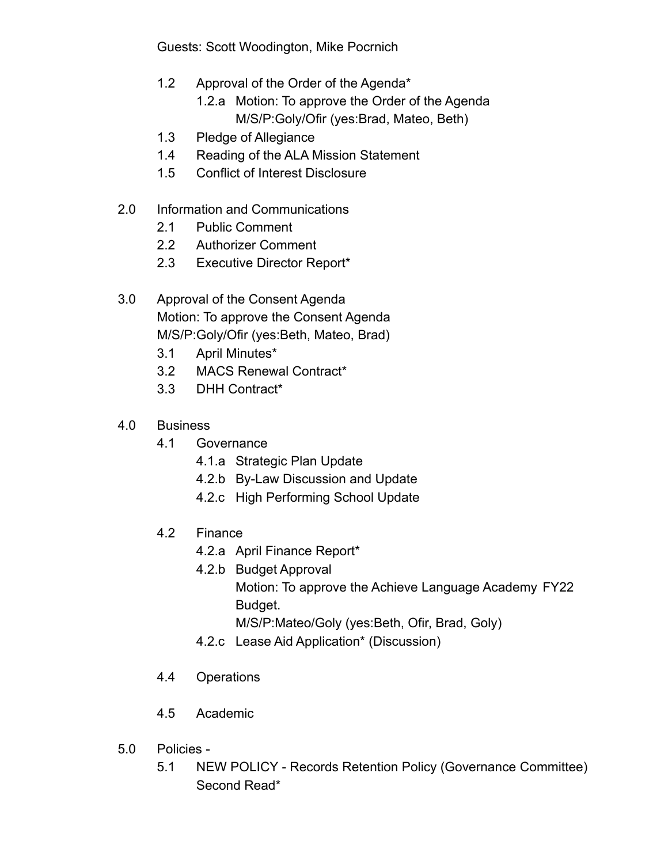Guests: Scott Woodington, Mike Pocrnich

- 1.2 Approval of the Order of the Agenda\*
	- 1.2.a Motion: To approve the Order of the Agenda M/S/P:Goly/Ofir (yes:Brad, Mateo, Beth)
- 1.3 Pledge of Allegiance
- 1.4 Reading of the ALA Mission Statement
- 1.5 Conflict of Interest Disclosure
- 2.0 Information and Communications
	- 2.1 Public Comment
	- 2.2 Authorizer Comment
	- 2.3 Executive Director Report\*
- 3.0 Approval of the Consent Agenda Motion: To approve the Consent Agenda M/S/P:Goly/Ofir (yes:Beth, Mateo, Brad)
	- 3.1 April Minutes\*
	- 3.2 MACS Renewal Contract\*
	- 3.3 DHH Contract\*
- 4.0 Business
	- 4.1 Governance
		- 4.1.a Strategic Plan Update
		- 4.2.b By-Law Discussion and Update
		- 4.2.c High Performing School Update
	- 4.2 Finance
		- 4.2.a April Finance Report\*
		- 4.2.b Budget Approval
			- Motion: To approve the Achieve Language Academy FY22 Budget.
				- M/S/P:Mateo/Goly (yes:Beth, Ofir, Brad, Goly)
		- 4.2.c Lease Aid Application\* (Discussion)
	- 4.4 Operations
	- 4.5 Academic
- 5.0 Policies
	- 5.1 NEW POLICY Records Retention Policy (Governance Committee) Second Read\*